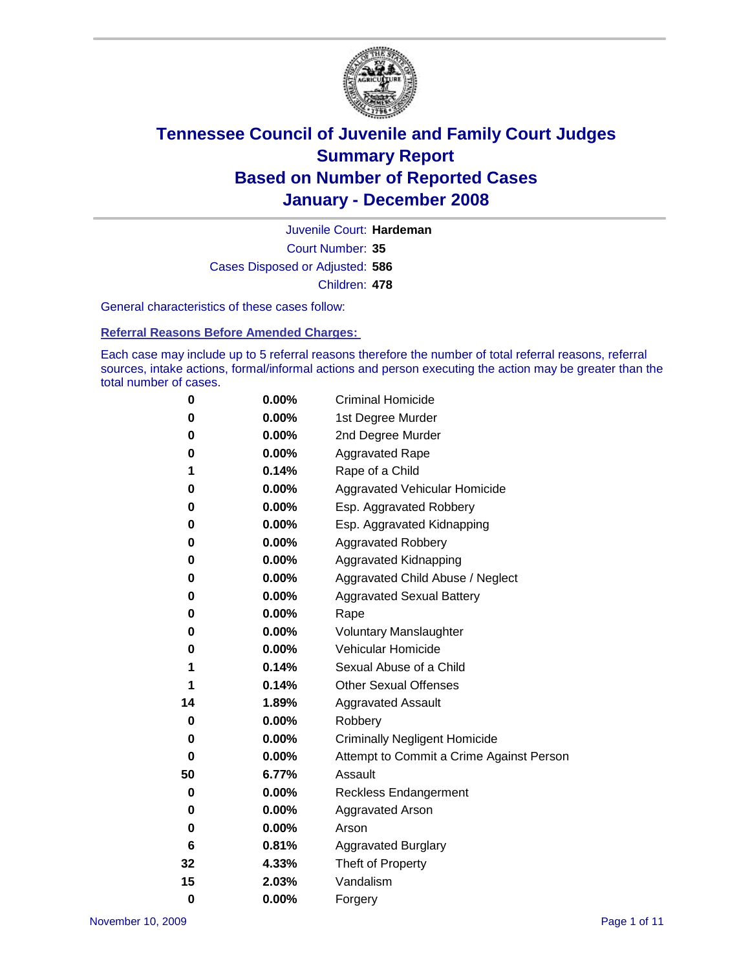

Court Number: **35** Juvenile Court: **Hardeman** Cases Disposed or Adjusted: **586** Children: **478**

General characteristics of these cases follow:

**Referral Reasons Before Amended Charges:** 

Each case may include up to 5 referral reasons therefore the number of total referral reasons, referral sources, intake actions, formal/informal actions and person executing the action may be greater than the total number of cases.

| 0  | 0.00%    | <b>Criminal Homicide</b>                 |
|----|----------|------------------------------------------|
| 0  | 0.00%    | 1st Degree Murder                        |
| 0  | $0.00\%$ | 2nd Degree Murder                        |
| 0  | 0.00%    | <b>Aggravated Rape</b>                   |
| 1  | 0.14%    | Rape of a Child                          |
| 0  | 0.00%    | Aggravated Vehicular Homicide            |
| 0  | 0.00%    | Esp. Aggravated Robbery                  |
| 0  | 0.00%    | Esp. Aggravated Kidnapping               |
| 0  | 0.00%    | <b>Aggravated Robbery</b>                |
| 0  | 0.00%    | Aggravated Kidnapping                    |
| 0  | 0.00%    | Aggravated Child Abuse / Neglect         |
| 0  | $0.00\%$ | <b>Aggravated Sexual Battery</b>         |
| 0  | 0.00%    | Rape                                     |
| 0  | 0.00%    | <b>Voluntary Manslaughter</b>            |
| 0  | 0.00%    | Vehicular Homicide                       |
| 1  | 0.14%    | Sexual Abuse of a Child                  |
| 1  | 0.14%    | <b>Other Sexual Offenses</b>             |
| 14 | 1.89%    | <b>Aggravated Assault</b>                |
| 0  | $0.00\%$ | Robbery                                  |
| 0  | 0.00%    | <b>Criminally Negligent Homicide</b>     |
| 0  | 0.00%    | Attempt to Commit a Crime Against Person |
| 50 | 6.77%    | Assault                                  |
| 0  | 0.00%    | <b>Reckless Endangerment</b>             |
| 0  | 0.00%    | <b>Aggravated Arson</b>                  |
| 0  | 0.00%    | Arson                                    |
| 6  | 0.81%    | <b>Aggravated Burglary</b>               |
| 32 | 4.33%    | Theft of Property                        |
| 15 | 2.03%    | Vandalism                                |
| 0  | 0.00%    | Forgery                                  |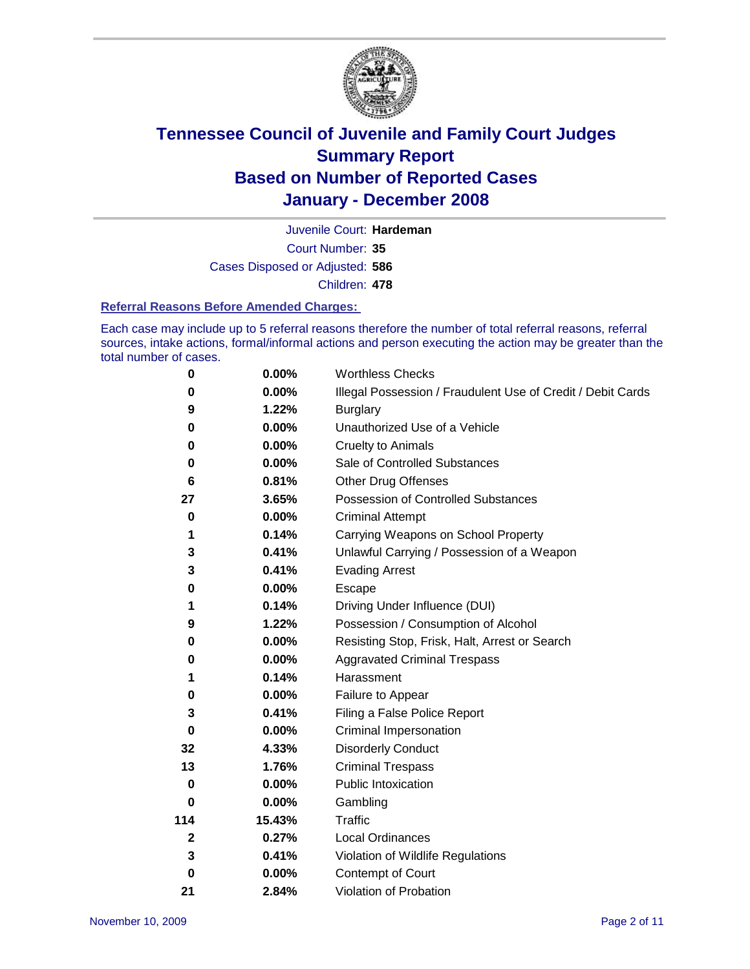

Court Number: **35** Juvenile Court: **Hardeman** Cases Disposed or Adjusted: **586** Children: **478**

#### **Referral Reasons Before Amended Charges:**

Each case may include up to 5 referral reasons therefore the number of total referral reasons, referral sources, intake actions, formal/informal actions and person executing the action may be greater than the total number of cases.

| 0           | 0.00%    | <b>Worthless Checks</b>                                     |
|-------------|----------|-------------------------------------------------------------|
| 0           | $0.00\%$ | Illegal Possession / Fraudulent Use of Credit / Debit Cards |
| 9           | 1.22%    | <b>Burglary</b>                                             |
| 0           | $0.00\%$ | Unauthorized Use of a Vehicle                               |
| 0           | $0.00\%$ | <b>Cruelty to Animals</b>                                   |
| 0           | 0.00%    | Sale of Controlled Substances                               |
| 6           | 0.81%    | <b>Other Drug Offenses</b>                                  |
| 27          | 3.65%    | Possession of Controlled Substances                         |
| 0           | $0.00\%$ | <b>Criminal Attempt</b>                                     |
| 1           | 0.14%    | Carrying Weapons on School Property                         |
| 3           | 0.41%    | Unlawful Carrying / Possession of a Weapon                  |
| 3           | 0.41%    | <b>Evading Arrest</b>                                       |
| 0           | 0.00%    | Escape                                                      |
| 1           | 0.14%    | Driving Under Influence (DUI)                               |
| 9           | 1.22%    | Possession / Consumption of Alcohol                         |
| $\bf{0}$    | 0.00%    | Resisting Stop, Frisk, Halt, Arrest or Search               |
| 0           | 0.00%    | <b>Aggravated Criminal Trespass</b>                         |
| 1           | 0.14%    | Harassment                                                  |
| 0           | 0.00%    | Failure to Appear                                           |
| 3           | 0.41%    | Filing a False Police Report                                |
| $\bf{0}$    | $0.00\%$ | Criminal Impersonation                                      |
| 32          | 4.33%    | <b>Disorderly Conduct</b>                                   |
| 13          | 1.76%    | <b>Criminal Trespass</b>                                    |
| 0           | 0.00%    | Public Intoxication                                         |
| 0           | $0.00\%$ | Gambling                                                    |
| 114         | 15.43%   | Traffic                                                     |
| $\mathbf 2$ | 0.27%    | Local Ordinances                                            |
| 3           | 0.41%    | Violation of Wildlife Regulations                           |
| $\bf{0}$    | $0.00\%$ | Contempt of Court                                           |
| 21          | 2.84%    | Violation of Probation                                      |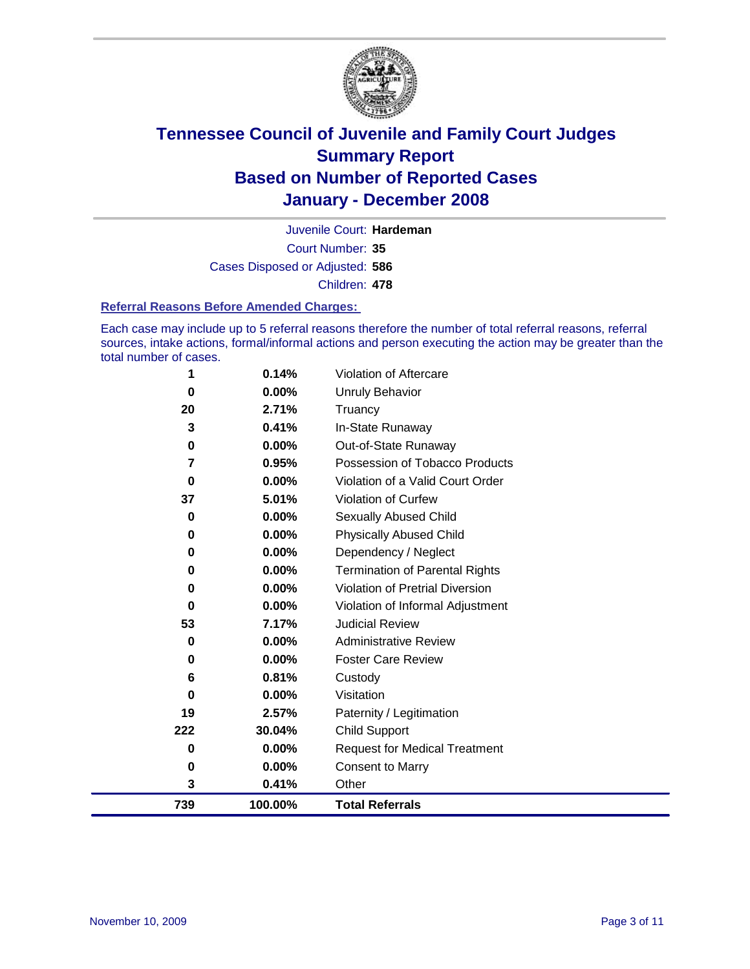

Court Number: **35** Juvenile Court: **Hardeman** Cases Disposed or Adjusted: **586** Children: **478**

#### **Referral Reasons Before Amended Charges:**

Each case may include up to 5 referral reasons therefore the number of total referral reasons, referral sources, intake actions, formal/informal actions and person executing the action may be greater than the total number of cases.

| 739      | 100.00%  | <b>Total Referrals</b>                |
|----------|----------|---------------------------------------|
| 3        | 0.41%    | Other                                 |
| 0        | 0.00%    | <b>Consent to Marry</b>               |
| 0        | 0.00%    | <b>Request for Medical Treatment</b>  |
| 222      | 30.04%   | <b>Child Support</b>                  |
| 19       | 2.57%    | Paternity / Legitimation              |
| 0        | 0.00%    | Visitation                            |
| 6        | 0.81%    | Custody                               |
| 0        | 0.00%    | <b>Foster Care Review</b>             |
| 0        | $0.00\%$ | <b>Administrative Review</b>          |
| 53       | 7.17%    | <b>Judicial Review</b>                |
| 0        | 0.00%    | Violation of Informal Adjustment      |
| 0        | $0.00\%$ | Violation of Pretrial Diversion       |
| 0        | $0.00\%$ | <b>Termination of Parental Rights</b> |
| 0        | 0.00%    | Dependency / Neglect                  |
| $\bf{0}$ | $0.00\%$ | <b>Physically Abused Child</b>        |
| 0        | 0.00%    | <b>Sexually Abused Child</b>          |
| 37       | 5.01%    | Violation of Curfew                   |
| $\bf{0}$ | $0.00\%$ | Violation of a Valid Court Order      |
| 7        | 0.95%    | Possession of Tobacco Products        |
| 0        | $0.00\%$ | Out-of-State Runaway                  |
| 3        | 0.41%    | In-State Runaway                      |
| 20       | 2.71%    | Truancy                               |
| 0        | 0.00%    | <b>Unruly Behavior</b>                |
| 1        | 0.14%    | Violation of Aftercare                |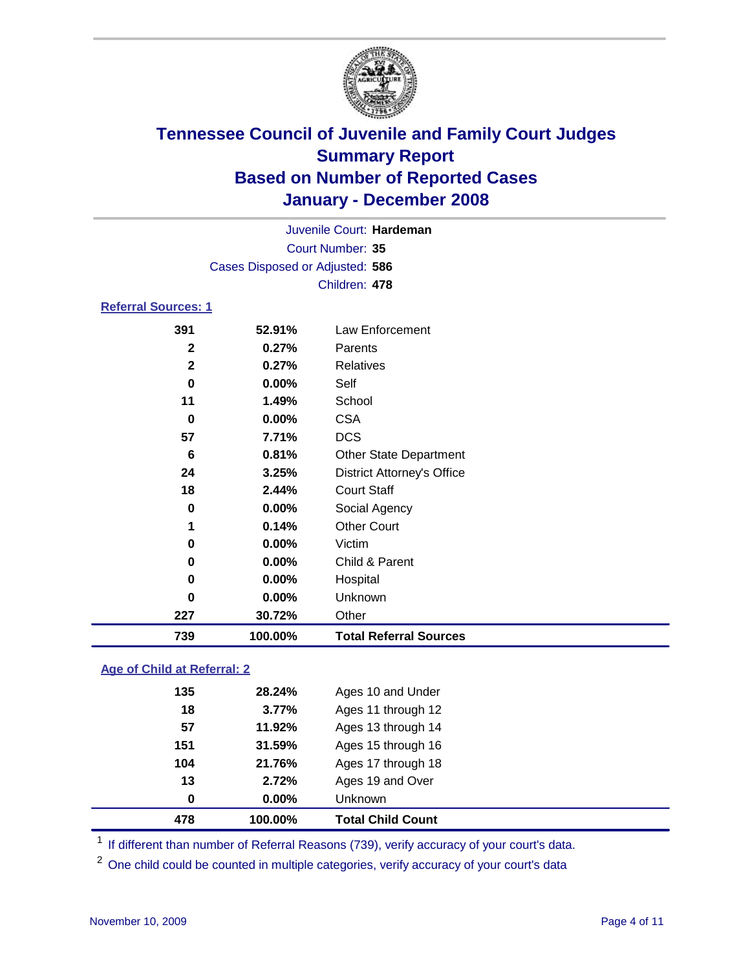

Court Number: **35** Juvenile Court: **Hardeman** Cases Disposed or Adjusted: **586** Children: **478**

### **Referral Sources: 1**

| 391          | 52.91%   | Law Enforcement                   |
|--------------|----------|-----------------------------------|
| $\mathbf{2}$ | 0.27%    | Parents                           |
| $\mathbf{2}$ | 0.27%    | Relatives                         |
| $\bf{0}$     | 0.00%    | Self                              |
| 11           | 1.49%    | School                            |
| $\bf{0}$     | $0.00\%$ | <b>CSA</b>                        |
| 57           | 7.71%    | <b>DCS</b>                        |
| 6            | 0.81%    | <b>Other State Department</b>     |
| 24           | 3.25%    | <b>District Attorney's Office</b> |
| 18           | 2.44%    | <b>Court Staff</b>                |
| $\bf{0}$     | 0.00%    | Social Agency                     |
| 1            | 0.14%    | <b>Other Court</b>                |
| $\mathbf 0$  | 0.00%    | Victim                            |
| $\bf{0}$     | 0.00%    | Child & Parent                    |
| 0            | 0.00%    | Hospital                          |
| 0            | 0.00%    | Unknown                           |
| 227          | 30.72%   | Other                             |
| 739          | 100.00%  | <b>Total Referral Sources</b>     |

### **Age of Child at Referral: 2**

| 478 | 100.00%    | <b>Total Child Count</b> |
|-----|------------|--------------------------|
|     | 0.00%<br>0 | Unknown                  |
| 13  | 2.72%      | Ages 19 and Over         |
| 104 | 21.76%     | Ages 17 through 18       |
| 151 | 31.59%     | Ages 15 through 16       |
| 57  | 11.92%     | Ages 13 through 14       |
| 18  | 3.77%      | Ages 11 through 12       |
| 135 | 28.24%     | Ages 10 and Under        |
|     |            |                          |

<sup>1</sup> If different than number of Referral Reasons (739), verify accuracy of your court's data.

<sup>2</sup> One child could be counted in multiple categories, verify accuracy of your court's data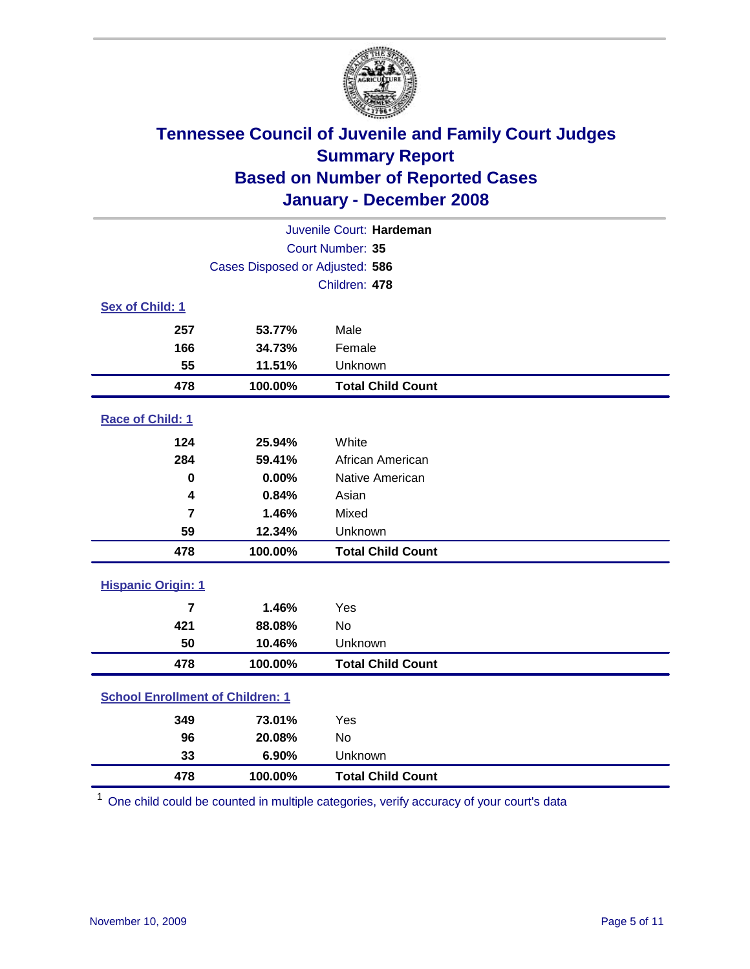

| Juvenile Court: Hardeman                |                                 |                          |  |  |  |
|-----------------------------------------|---------------------------------|--------------------------|--|--|--|
| Court Number: 35                        |                                 |                          |  |  |  |
|                                         | Cases Disposed or Adjusted: 586 |                          |  |  |  |
|                                         |                                 | Children: 478            |  |  |  |
| Sex of Child: 1                         |                                 |                          |  |  |  |
| 257                                     | 53.77%                          | Male                     |  |  |  |
| 166                                     | 34.73%                          | Female                   |  |  |  |
| 55                                      | 11.51%                          | Unknown                  |  |  |  |
| 478                                     | 100.00%                         | <b>Total Child Count</b> |  |  |  |
| Race of Child: 1                        |                                 |                          |  |  |  |
| 124                                     | 25.94%                          | White                    |  |  |  |
| 284                                     | 59.41%                          | African American         |  |  |  |
| $\bf{0}$                                | 0.00%                           | Native American          |  |  |  |
| 4                                       | 0.84%                           | Asian                    |  |  |  |
| $\overline{7}$                          | 1.46%                           | Mixed                    |  |  |  |
| 59                                      | 12.34%                          | Unknown                  |  |  |  |
| 478                                     | 100.00%                         | <b>Total Child Count</b> |  |  |  |
| <b>Hispanic Origin: 1</b>               |                                 |                          |  |  |  |
| $\overline{7}$                          | 1.46%                           | Yes                      |  |  |  |
| 421                                     | 88.08%                          | <b>No</b>                |  |  |  |
| 50                                      | 10.46%                          | Unknown                  |  |  |  |
| 478                                     | 100.00%                         | <b>Total Child Count</b> |  |  |  |
| <b>School Enrollment of Children: 1</b> |                                 |                          |  |  |  |
| 349                                     | 73.01%                          | Yes                      |  |  |  |
| 96                                      | 20.08%                          | No                       |  |  |  |
| 33                                      | 6.90%                           | Unknown                  |  |  |  |
| 478                                     | 100.00%                         | <b>Total Child Count</b> |  |  |  |

One child could be counted in multiple categories, verify accuracy of your court's data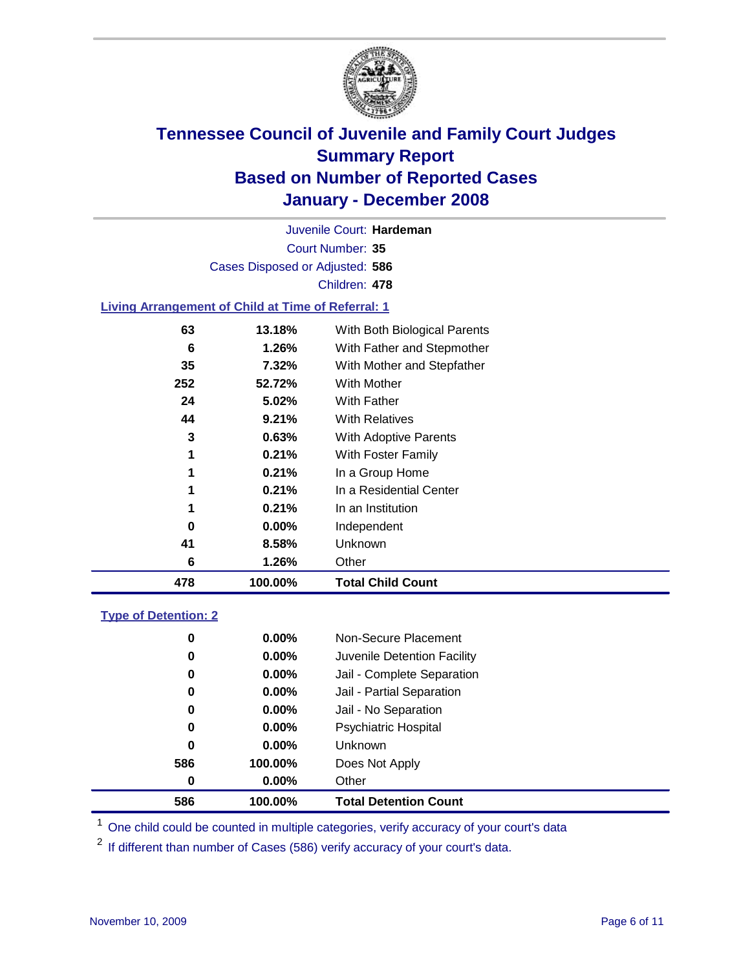

Court Number: **35** Juvenile Court: **Hardeman** Cases Disposed or Adjusted: **586** Children: **478**

#### **Living Arrangement of Child at Time of Referral: 1**

| 478 | 100.00%  | <b>Total Child Count</b>     |
|-----|----------|------------------------------|
| 6   | 1.26%    | Other                        |
| 41  | 8.58%    | Unknown                      |
| 0   | $0.00\%$ | Independent                  |
| 1   | 0.21%    | In an Institution            |
| 1   | 0.21%    | In a Residential Center      |
| 1   | 0.21%    | In a Group Home              |
| 1   | 0.21%    | With Foster Family           |
| 3   | 0.63%    | With Adoptive Parents        |
| 44  | 9.21%    | <b>With Relatives</b>        |
| 24  | 5.02%    | With Father                  |
| 252 | 52.72%   | <b>With Mother</b>           |
| 35  | 7.32%    | With Mother and Stepfather   |
| 6   | 1.26%    | With Father and Stepmother   |
| 63  | 13.18%   | With Both Biological Parents |

#### **Type of Detention: 2**

| 586 | 100.00%  | <b>Total Detention Count</b> |  |
|-----|----------|------------------------------|--|
| 0   | $0.00\%$ | Other                        |  |
| 586 | 100.00%  | Does Not Apply               |  |
| 0   | $0.00\%$ | Unknown                      |  |
| 0   | $0.00\%$ | <b>Psychiatric Hospital</b>  |  |
| 0   | $0.00\%$ | Jail - No Separation         |  |
| 0   | $0.00\%$ | Jail - Partial Separation    |  |
| 0   | $0.00\%$ | Jail - Complete Separation   |  |
| 0   | 0.00%    | Juvenile Detention Facility  |  |
| 0   | $0.00\%$ | Non-Secure Placement         |  |
|     |          |                              |  |

<sup>1</sup> One child could be counted in multiple categories, verify accuracy of your court's data

<sup>2</sup> If different than number of Cases (586) verify accuracy of your court's data.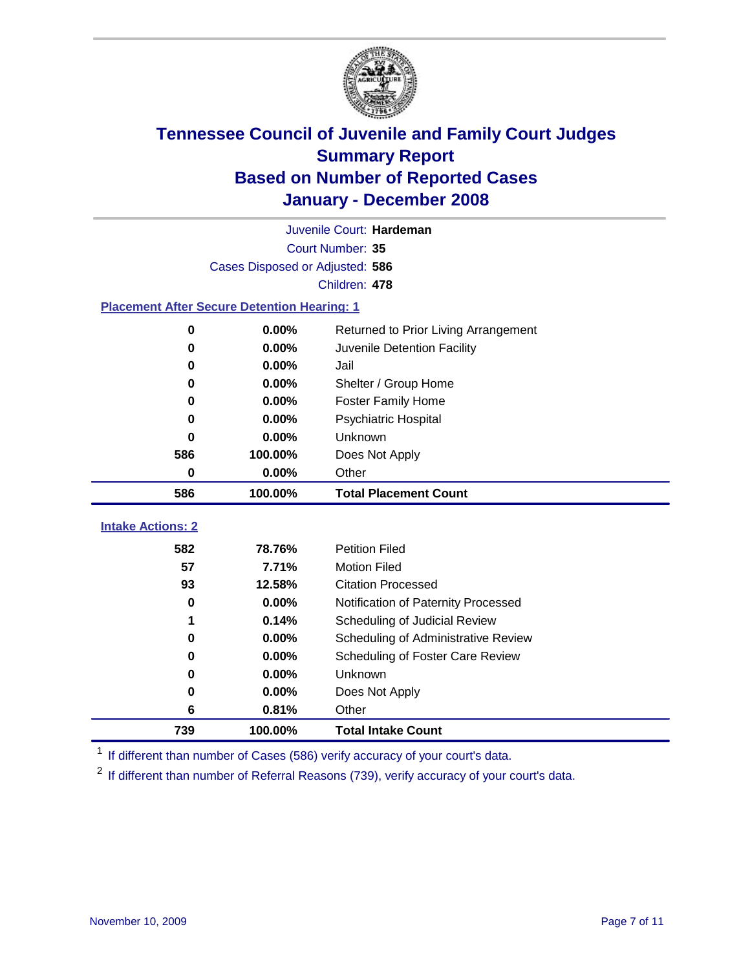

|                                                    | Juvenile Court: Hardeman        |                                      |  |  |  |  |
|----------------------------------------------------|---------------------------------|--------------------------------------|--|--|--|--|
|                                                    | Court Number: 35                |                                      |  |  |  |  |
|                                                    | Cases Disposed or Adjusted: 586 |                                      |  |  |  |  |
|                                                    | Children: 478                   |                                      |  |  |  |  |
| <b>Placement After Secure Detention Hearing: 1</b> |                                 |                                      |  |  |  |  |
| 0                                                  | 0.00%                           | Returned to Prior Living Arrangement |  |  |  |  |
| $\bf{0}$                                           | 0.00%                           | Juvenile Detention Facility          |  |  |  |  |
| 0                                                  | 0.00%                           | Jail                                 |  |  |  |  |
| 0                                                  | 0.00%                           | Shelter / Group Home                 |  |  |  |  |
| 0                                                  | 0.00%                           | <b>Foster Family Home</b>            |  |  |  |  |
| 0                                                  | 0.00%                           | <b>Psychiatric Hospital</b>          |  |  |  |  |
| U                                                  | 0.00%                           | Unknown                              |  |  |  |  |
| 586                                                | 100.00%                         | Does Not Apply                       |  |  |  |  |
| 0                                                  | 0.00%                           | Other                                |  |  |  |  |
| 586                                                | 100.00%                         | <b>Total Placement Count</b>         |  |  |  |  |
|                                                    |                                 |                                      |  |  |  |  |
| <b>Intake Actions: 2</b>                           |                                 |                                      |  |  |  |  |
| 582                                                | 78.76%                          | <b>Petition Filed</b>                |  |  |  |  |
| 57                                                 | 7.71%                           | <b>Motion Filed</b>                  |  |  |  |  |
| 93                                                 | 12.58%                          | <b>Citation Processed</b>            |  |  |  |  |
| 0                                                  | 0.00%                           | Notification of Paternity Processed  |  |  |  |  |
| 1                                                  | 0.14%                           | Scheduling of Judicial Review        |  |  |  |  |
| 0                                                  | 0.00%                           | Scheduling of Administrative Review  |  |  |  |  |
| 0                                                  | 0.00%                           | Scheduling of Foster Care Review     |  |  |  |  |
| 0                                                  | 0.00%                           | Unknown                              |  |  |  |  |
| 0                                                  | 0.00%                           | Does Not Apply                       |  |  |  |  |
| 6                                                  | 0.81%                           | Other                                |  |  |  |  |
| 739                                                | 100.00%                         | <b>Total Intake Count</b>            |  |  |  |  |

<sup>1</sup> If different than number of Cases (586) verify accuracy of your court's data.

<sup>2</sup> If different than number of Referral Reasons (739), verify accuracy of your court's data.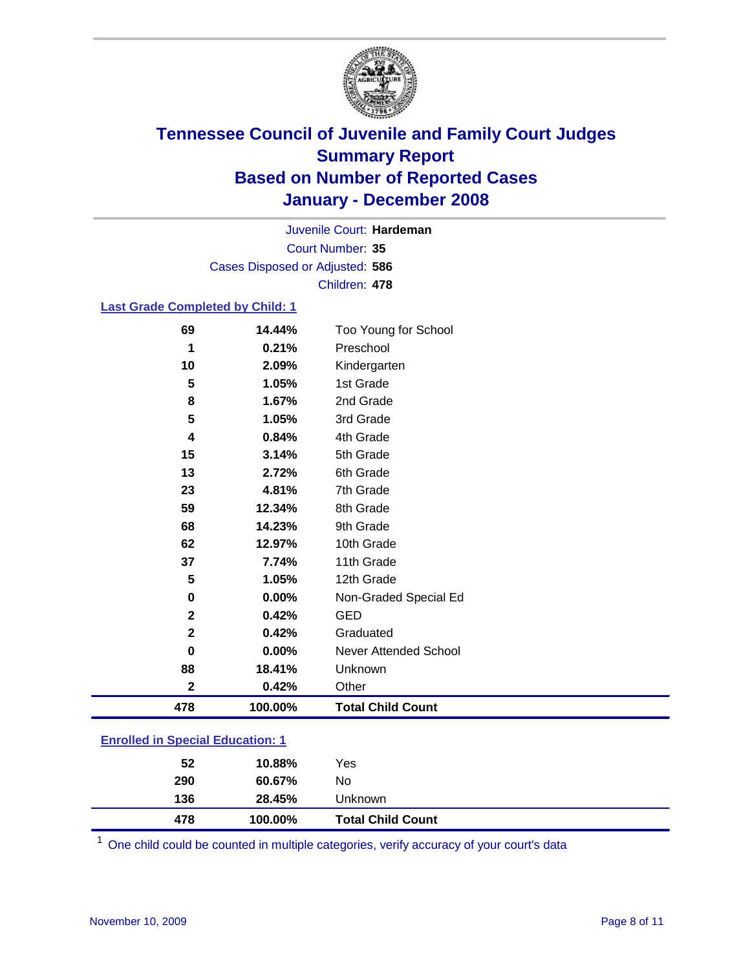

Court Number: **35** Juvenile Court: **Hardeman** Cases Disposed or Adjusted: **586** Children: **478**

### **Last Grade Completed by Child: 1**

| 69           | 14.44%  | Too Young for School     |
|--------------|---------|--------------------------|
| 1            | 0.21%   | Preschool                |
| 10           | 2.09%   | Kindergarten             |
| 5            | 1.05%   | 1st Grade                |
| 8            | 1.67%   | 2nd Grade                |
| 5            | 1.05%   | 3rd Grade                |
| 4            | 0.84%   | 4th Grade                |
| 15           | 3.14%   | 5th Grade                |
| 13           | 2.72%   | 6th Grade                |
| 23           | 4.81%   | 7th Grade                |
| 59           | 12.34%  | 8th Grade                |
| 68           | 14.23%  | 9th Grade                |
| 62           | 12.97%  | 10th Grade               |
| 37           | 7.74%   | 11th Grade               |
| 5            | 1.05%   | 12th Grade               |
| $\bf{0}$     | 0.00%   | Non-Graded Special Ed    |
| $\mathbf{2}$ | 0.42%   | <b>GED</b>               |
| $\mathbf{2}$ | 0.42%   | Graduated                |
| 0            | 0.00%   | Never Attended School    |
| 88           | 18.41%  | Unknown                  |
| $\mathbf 2$  | 0.42%   | Other                    |
| 478          | 100.00% | <b>Total Child Count</b> |

### **Enrolled in Special Education: 1**

One child could be counted in multiple categories, verify accuracy of your court's data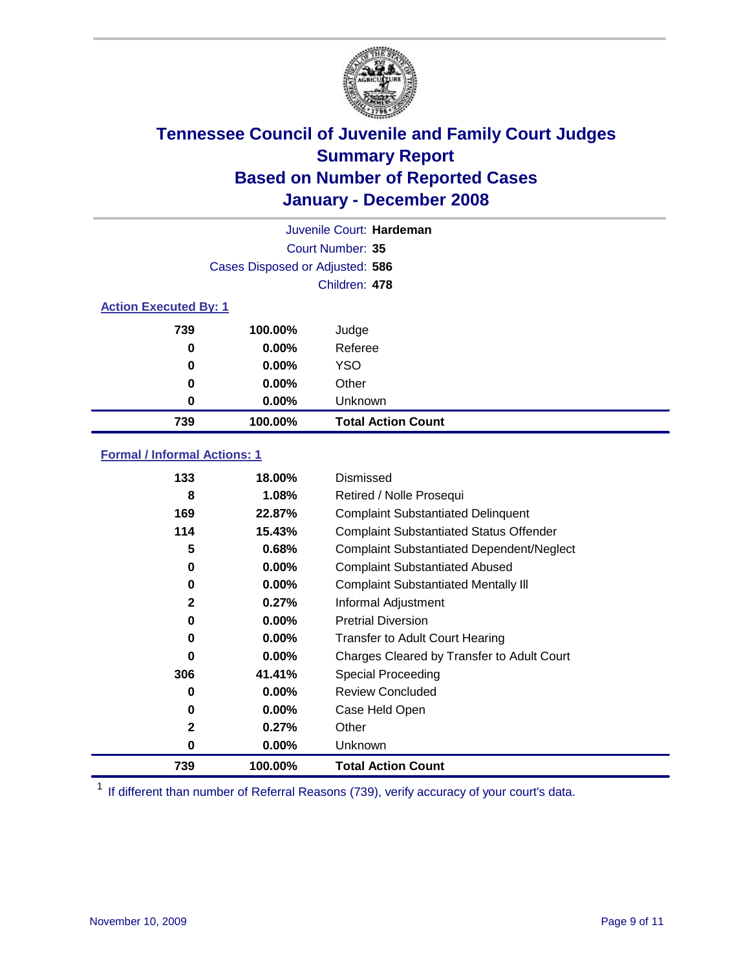

| Juvenile Court: Hardeman     |                                 |                           |  |  |  |
|------------------------------|---------------------------------|---------------------------|--|--|--|
|                              | Court Number: 35                |                           |  |  |  |
|                              | Cases Disposed or Adjusted: 586 |                           |  |  |  |
|                              |                                 | Children: 478             |  |  |  |
| <b>Action Executed By: 1</b> |                                 |                           |  |  |  |
| 739                          | 100.00%                         | Judge                     |  |  |  |
| 0                            | $0.00\%$                        | Referee                   |  |  |  |
| 0                            | $0.00\%$                        | <b>YSO</b>                |  |  |  |
| 0                            | $0.00\%$                        | Other                     |  |  |  |
| 0                            | $0.00\%$                        | Unknown                   |  |  |  |
| 739                          | 100.00%                         | <b>Total Action Count</b> |  |  |  |

### **Formal / Informal Actions: 1**

| 133          | 18.00%   | Dismissed                                        |
|--------------|----------|--------------------------------------------------|
| 8            | 1.08%    | Retired / Nolle Prosequi                         |
| 169          | 22.87%   | <b>Complaint Substantiated Delinquent</b>        |
| 114          | 15.43%   | <b>Complaint Substantiated Status Offender</b>   |
| 5            | 0.68%    | <b>Complaint Substantiated Dependent/Neglect</b> |
| 0            | $0.00\%$ | <b>Complaint Substantiated Abused</b>            |
| 0            | 0.00%    | <b>Complaint Substantiated Mentally III</b>      |
| $\mathbf{2}$ | 0.27%    | Informal Adjustment                              |
| 0            | $0.00\%$ | <b>Pretrial Diversion</b>                        |
| 0            | $0.00\%$ | <b>Transfer to Adult Court Hearing</b>           |
| 0            | $0.00\%$ | Charges Cleared by Transfer to Adult Court       |
| 306          | 41.41%   | Special Proceeding                               |
| 0            | $0.00\%$ | <b>Review Concluded</b>                          |
| 0            | $0.00\%$ | Case Held Open                                   |
| $\mathbf{2}$ | 0.27%    | Other                                            |
| 0            | $0.00\%$ | Unknown                                          |
| 739          | 100.00%  | <b>Total Action Count</b>                        |

<sup>1</sup> If different than number of Referral Reasons (739), verify accuracy of your court's data.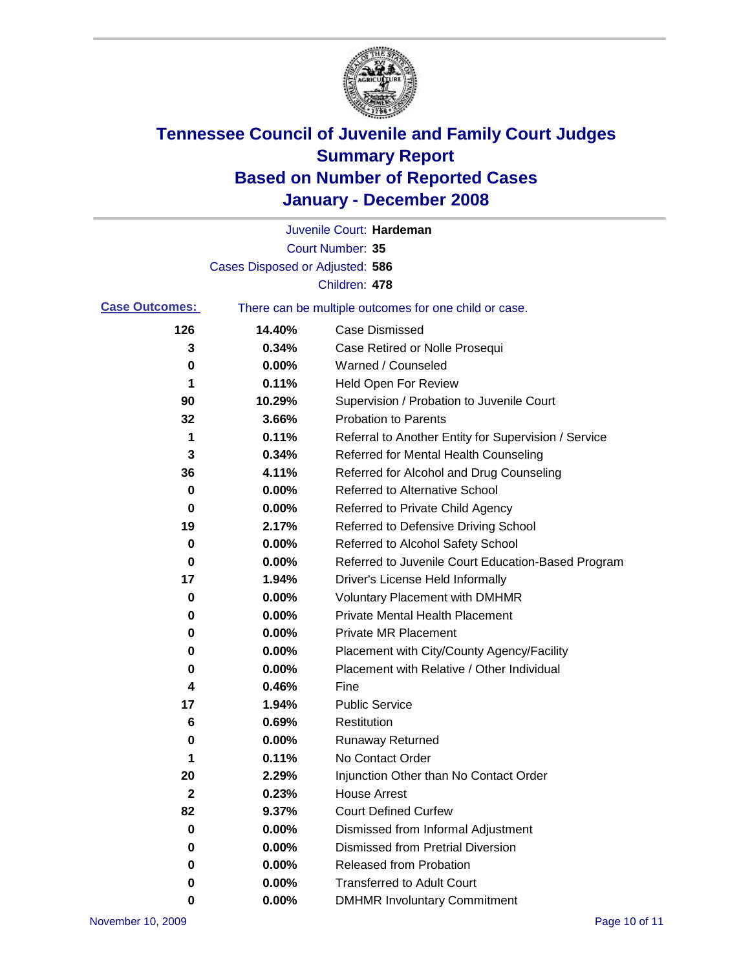

|                       |                                 | Juvenile Court: Hardeman                              |
|-----------------------|---------------------------------|-------------------------------------------------------|
|                       |                                 | Court Number: 35                                      |
|                       | Cases Disposed or Adjusted: 586 |                                                       |
|                       |                                 | Children: 478                                         |
| <b>Case Outcomes:</b> |                                 | There can be multiple outcomes for one child or case. |
| 126                   | 14.40%                          | <b>Case Dismissed</b>                                 |
| 3                     | 0.34%                           | Case Retired or Nolle Prosequi                        |
| 0                     | 0.00%                           | Warned / Counseled                                    |
| 1                     | 0.11%                           | <b>Held Open For Review</b>                           |
| 90                    | 10.29%                          | Supervision / Probation to Juvenile Court             |
| 32                    | 3.66%                           | <b>Probation to Parents</b>                           |
| 1                     | 0.11%                           | Referral to Another Entity for Supervision / Service  |
| 3                     | 0.34%                           | Referred for Mental Health Counseling                 |
| 36                    | 4.11%                           | Referred for Alcohol and Drug Counseling              |
| 0                     | 0.00%                           | <b>Referred to Alternative School</b>                 |
| 0                     | 0.00%                           | Referred to Private Child Agency                      |
| 19                    | 2.17%                           | Referred to Defensive Driving School                  |
| 0                     | 0.00%                           | Referred to Alcohol Safety School                     |
| 0                     | 0.00%                           | Referred to Juvenile Court Education-Based Program    |
| 17                    | 1.94%                           | Driver's License Held Informally                      |
| 0                     | 0.00%                           | <b>Voluntary Placement with DMHMR</b>                 |
| 0                     | 0.00%                           | <b>Private Mental Health Placement</b>                |
| 0                     | 0.00%                           | <b>Private MR Placement</b>                           |
| 0                     | 0.00%                           | Placement with City/County Agency/Facility            |
| 0                     | 0.00%                           | Placement with Relative / Other Individual            |
| 4                     | 0.46%                           | Fine                                                  |
| 17                    | 1.94%                           | <b>Public Service</b>                                 |
| 6                     | 0.69%                           | Restitution                                           |
| 0                     | 0.00%                           | <b>Runaway Returned</b>                               |
| 1                     | 0.11%                           | No Contact Order                                      |
| 20                    | 2.29%                           | Injunction Other than No Contact Order                |
| $\mathbf 2$           | 0.23%                           | <b>House Arrest</b>                                   |
| 82                    | 9.37%                           | <b>Court Defined Curfew</b>                           |
| 0                     | 0.00%                           | Dismissed from Informal Adjustment                    |
| 0                     | 0.00%                           | <b>Dismissed from Pretrial Diversion</b>              |
| 0                     | 0.00%                           | <b>Released from Probation</b>                        |
| 0                     | 0.00%                           | <b>Transferred to Adult Court</b>                     |
| 0                     | $0.00\%$                        | <b>DMHMR Involuntary Commitment</b>                   |